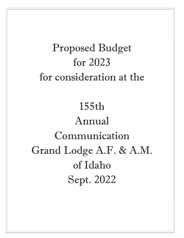# Proposed Budget for 2023 for consideration at the

# 155th Annual Communication Grand Lodge A.F. & A.M. of Idaho Sept. 2022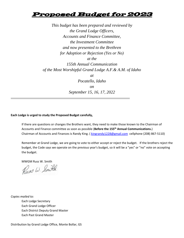# Proposed Budget for 2023

*This budget has been prepared and reviewed by the Grand Lodge Officers, Accounts and Finance Committee, the Investment Committee and now presented to the Brethren for Adoption or Rejection (Yes or No) at the 155th Annual Communication of the Most Worshipful Grand Lodge A.F.& A.M. of Idaho at Pocatello, Idaho on September 15, 16, 17, 2022* 

#### **Each Lodge is urged to study the Proposed Budget carefully,**

\_\_\_\_\_\_\_\_\_\_\_\_\_\_\_\_\_\_\_\_\_\_\_\_\_\_\_\_\_\_\_\_\_\_\_\_\_\_\_\_\_\_\_\_\_\_\_\_\_\_\_\_\_\_\_\_\_\_\_\_

If there are questions or changes the Brothers want, they need to make those known to the Chairman of Accounts and Finance committee as soon as possible (**Before the 155th Annual Communications.**) Chairman of Accounts and Finances is Randy King. ( kingrandy1228@gmail.com cellphone (208) 867-5110)

Remember at Grand Lodge, we are going to vote to either accept or reject the budget. If the brothers reject the budget, the Code says we operate on the previous year's budget, so it will be a "yes" or "no" vote on accepting the budget.

MWGM Russ W. Smith

Russ W. Smith

*Copies mailed to:*  Each Lodge Secretary Each Grand Lodge Officer Each District Deputy Grand Master Each Past Grand Master

Distribution by Grand Lodge Office, Monte Bollar, GS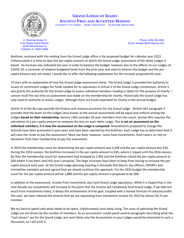

H. Sherman Burger III R W Deputy Grand Master 15359 Reminiscene Dr Caldwell, ID 83607-8996

# **GRAND LODGE OF IDAHO ANCIENT FREE AND ACCEPTED MASONS** 219 NORTH 17TH STREET BOISE, IDAHO 83702 TELEPHONE 208/343-4562

Phone: (208) 459-4891 Email: sburger2@mindspring.com

Brethren, enclosed with this mailing from the Grand Lodge office is the proposed budget for calendar year 2023. Unfortunately it is time to raise the per-capita amount on which the Grand Lodge assessment of the Idaho Lodges is based. An increase was indicated last year in order to balance the budget, however due to the effects on our Lodges of COVID-19, a carryover of unspent budgeted funds from the prior year was used to balance the budget and the percapita amount was not raised. I would like to offer the following explanation for the increase proposed this year.

I'll start with an explanation of how the Grand Lodge assessment works. The Grand Lodge is provided the authority to assess its constituent Lodges for funds needed for its operations in Article V of the Grand Lodge Constitution. Article V also grants the authority for the Grand Lodge to assess individual members residing in Idaho for the purpose of charity. I cannot recall the last time an assessment was made on the membership for charity. Historically the Grand Lodge has only used its authority to assess Lodges, although there are funds expended for charity in the annual budget.

Article VI of the By-Laws provide the finance and revenue provisions for the Grand Lodge. Section 601 paragraph 2 provides that the levies on the Lodges (also known as the annual assessment) will be equal and uniform among the Lodges **based on their membership.** Section 1402 excludes 50-year members from this count. Section 601 requires the calculation of a per-capita amount to compute the levy on each Idaho Lodge. This **is not an assessment on the individual members, it is how the assessment on the Lodge is computed**. Amendments proposed to change the formula have been presented in past years and have been rejected by the brethren. Each Lodge has to determine how it will raise the funds to pay the assessment. Most use dues, however, some have investments, fund raisers, or rely on donations from their membership to pay the assessment.

In 2010 the membership count for determining the per-capita amount was 3,298 and the per-capita amount was \$35. During the 2010 session, the brethren increased in the per-capita amount to \$45, where it stayed until the 2016 session. By then the membership count for assessment had dropped to 1,943 and the brethren raised the per-capita amount to \$60 where it has been until this year's proposal. The large increases have been to keep from having to increase the percapita amount each year. At the Grand Lodge planning meeting in Pocatello this March, the officers, DDGM's and Committee members present agreed that we should continue this approach. For the 2023 budget the membership count for the per-capita amount will be 1,888 and the per-capita amount is proposed to be \$80.

In addition to the assessment, income from investments also fund Grand Lodge operations. While it is hoped that in the next decade our investments will increase to the point that the income will completely fund Grand Lodge, if we take too much from investments today, it delays the achievement of that goal. Coupled with a market forecast of reduced profits this year, we have reduced the amount that we are requesting from investment income for 2023 by almost \$6.75 per member.

We try hard to spend only what needs to be spent. Unfortunately costs keep rising. The costs of operating the Grand Lodge are not driven by the number of members. As an accountant I could spend several paragraphs describing what the "cost drivers" are for the Grand Lodge, but most likely only the Accountants in your Lodges would be interested in such a discussion, so I will omit it.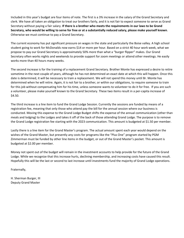Included in this year's budget are four items of note. The first is a 3% increase in the salary of the Grand Secretary and clerk. We have all taken an obligation to treat our brothers fairly, and it is not fair to expect someone to serve as Grand Secretary without paying a fair salary. **If there is a brother who meets the requirements in our laws to be Grand Secretary, who would be willing to serve for free or at a substantially reduced salary, please make yourself known**. Otherwise we must continue to pay a Grand Secretary.

The current economy has put significant pressure on wages in the state and particularly the Boise valley. A high school student going to work for McDonalds now earns \$14 or more per hour. Based on a strict 40 hour work week, what we propose to pay our Grand Secretary is approximately 50% more than what a "burger flipper" makes. Our Grand Secretary often works nights and weekends to provide support for zoom meetings or attend other meetings. He easily works more than 40 hours many weeks.

The second increase is for the training of a replacement Grand Secretary. Brother Monte has expressed a desire to retire sometime in the next couple of years, although he has not determined an exact date at which this will happen. Once this date is determined, it will be necessary to train a replacement. We will not spend this money until Br. Monte has determined when he will retire. Again, it is not fair to a brother, or within our obligations, to require someone to train for this job without compensating him for his time, unless someone wants to volunteer to do it for free. If you are such a volunteer, please make yourself known to the Grand Secretary. These two items result in a per-capita increase of \$4.50.

The third increase is a line item to fund the Grand Lodge Session. Currently the sessions are funded by means of a registration fee, meaning that only those who attend pay the bill for the annual session where our business is conducted. Moving this expense to the Grand Lodge Budget shifts the expense of the annual communication (other than meals and lodging) to the Lodges and takes it off of the back of those attending Grand Lodge. The purpose is to remove the Grand Lodge registration fee starting with the 2023 communication. This amount is budgeted at \$1.50 per member.

Lastly there is a line item for the Grand Master's program. The actual amount spent each year would depend on the wishes of the Grand Master, but presently any costs for programs like the "Plus One" program started by PGM Zimmerman must be funded by other line items in the budget, or out of the Grand Master's pocket. This amount is budgeted at \$2.00 per member.

Money not spent out of the budget will remain in the investment accounts to help provide for the future of the Grand Lodge. While we recognize that this increase hurts, declining membership, and increasing costs have caused this result. Hopefully this will be the last or second to last increase until investments fund the majority of Grand Lodge operations.

Fraternally,

H. Sherman Burger, III Deputy Grand Master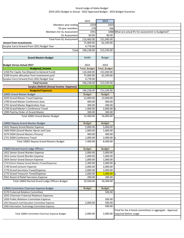## Grand Lodge of Idaho Budget 2019‐2021 Budget vs Actual ‐ 2022 Approved Budget ‐ 2023 Budget Scenarios

| 2022                                                |                     | 2023              |                                                                                    |
|-----------------------------------------------------|---------------------|-------------------|------------------------------------------------------------------------------------|
| Members year ending                                 | 2329                | 2454              |                                                                                    |
| 50 year members                                     | 570                 | 566               |                                                                                    |
| Members for GL Assessment                           | 1941                |                   | 1888 What are actual #'s for assessment vs budgeted?                               |
| <b>GL Assessment</b>                                | 60.00               | 80.00             |                                                                                    |
| Total from GL Assessment                            | 116,460.00          | 151,040.00        |                                                                                    |
| <b>Amont from Investments</b>                       | 75,000.00           | 62,299.00         |                                                                                    |
| Surplus Carry forward from 2021 Budget Year         | 4,778.00            |                   |                                                                                    |
| Total                                               | 196,238.00          | 213,339.00        |                                                                                    |
|                                                     |                     |                   |                                                                                    |
| <b>Grand Masters Budget</b>                         | Smith               | <b>Burger</b>     |                                                                                    |
|                                                     |                     |                   |                                                                                    |
| <b>Budget Versus Actual 2017</b>                    | 2022                | 2023              |                                                                                    |
| <b>Budgeted_Income</b>                              | <b>Total Budget</b> | Total_Budget      |                                                                                    |
| 1350 Per Capita Tax (Deposit to General Fund)       | 116,460.00          | 151,040.00        |                                                                                    |
| 3100 Income allocation from investment pool         | 75,000.00           | 62,299.00         |                                                                                    |
| Surplus Carry forward from 2021 Budget Year         | 4,778.00            |                   |                                                                                    |
| <b>Total Income</b>                                 | 196,238.00          | 213,339.00        |                                                                                    |
| <b>Surplus (Deficit) (Actual Income - Expenses)</b> |                     |                   |                                                                                    |
|                                                     |                     |                   |                                                                                    |
| <b>Budgeted Expenses</b>                            | 196,238.00          | 213,339.00        |                                                                                    |
| 10001 Grand Master Budget                           | <b>Budget</b>       | <b>Budget</b>     |                                                                                    |
| 1650 Grand Master Travel Expense                    | 13,000.00           | 13,000.00         |                                                                                    |
| 1700 Grand Master Conference dues                   | 400.00              | 400.00            |                                                                                    |
| 1701 Grand Master Registration Fees                 | 300.00              | 300.00            |                                                                                    |
| 1750 Grand Master's Conference Travel               | 1,400.00            | 2,000.00          | Ιx                                                                                 |
| 1990 Paid by Order of Grand Master                  | 300.00              | 300.00            |                                                                                    |
| Total 10001 Grand Master Budget                     | 15,400.00           | 16,000.00         |                                                                                    |
|                                                     |                     |                   |                                                                                    |
| 10002 Deputy Grand Masters Budget                   | <b>Budget</b>       | <b>Budget</b>     |                                                                                    |
| 1651 Deputy Grand Master Expense                    | 5,000.00            | 5,000.00          |                                                                                    |
| 1660 DGM (Grand Master Apron and Case               | 1,000.00            | 1,000.00          |                                                                                    |
| 1670 DGM (Grand Masters Picture)                    | 400.00              | 400.00            |                                                                                    |
| 1751 DGM Conference Travel                          | 1,000.00            | 2,000.00          | <b>I</b> x                                                                         |
| Total 10002 Deputy Grand Masters Budget             | 7,400.00            | 8.400.00          |                                                                                    |
|                                                     |                     |                   |                                                                                    |
| 10003 Elected Grand Lodge Officers                  | <b>Budget</b>       | <b>Budget</b>     |                                                                                    |
| 1652 Senior Grand Warden Expense                    | 2.000.00            | 2.000.00          |                                                                                    |
| 1653 Junior Grand Warden Expense                    | 1,000.00            | 1,000.00          |                                                                                    |
| 1654 Senior Grand Deacon Expense                    | 1,000.00            | 1,000.00          |                                                                                    |
| 1710 District Deputy Grand Master (Travel/Expense)  | 1,300.00            | $1,000.00 \times$ |                                                                                    |
| 1740 Grand Lecturer Expense                         | 2,000.00            | 2,000.00          |                                                                                    |
| 1770 Grand Secretary Travel/Expense                 | 2,000.00            | 2,000.00          |                                                                                    |
| 1775 Grand Treasurer Travel/Expense                 | 1,000.00            | 1,000.00          | $\mathbf{I}$ x                                                                     |
| 3561 Board of Relief Secretary Expense              | 200.00              | 200.00            |                                                                                    |
| Total 10003 Elected Grand Lodge Officers Budget     | 10,500.00           | 10,200.00         |                                                                                    |
|                                                     |                     |                   |                                                                                    |
| 10004 Committee Chairman Expense Budget             | <b>Budget</b>       | <b>Budget</b>     |                                                                                    |
| 1570 Fraternal Relation Committee                   |                     | 500.00            |                                                                                    |
| 1655 Chairman Fraternal Relations Expenses          |                     |                   |                                                                                    |
| 1920 Public Relations Committee Expense             |                     | 500.00            |                                                                                    |
| 1922 Research and Education Committee Expense       | 2,000.00            | 500.00            |                                                                                    |
| 1940 Information Technology Committee Expense       |                     | 500.00            |                                                                                    |
| Total 10004 Committee Chairman Expense Budget       | 2,000.00            | 2,000.00          | Total for the 4 listed committees in aggregate - Approval<br>required before usage |
|                                                     |                     |                   |                                                                                    |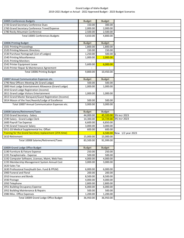## Grand Lodge of Idaho Budget 2019‐2021 Budget vs Actual ‐ 2022 Approved Budget ‐ 2023 Budget Scenarios

| 10005 Conferences Budgets                               | <b>Budget</b> | <b>Budget</b> |                     |
|---------------------------------------------------------|---------------|---------------|---------------------|
| 1720 Grand Secretary Conference Dues                    | 150.00        | 300.00        |                     |
| 1760 Grand Secretary Conference Travel/Expense          | 2,000.00      | 2,000.00      |                     |
| 1780 Rocky Mountain Conference                          | 2,500.00      | 2,500.00      |                     |
| Total 10005 Conferences Budgets                         | 4,650.00      | 4,800.00      |                     |
|                                                         |               |               |                     |
| 10006 Printing Budget                                   | <b>Budget</b> | <b>Budget</b> |                     |
| 1501 Printing Proceedings                               | 1,800.00      | 1,800.00      |                     |
| 1520 Printing Masonic Directory                         | 150.00        | 150.00        |                     |
| 1530 Purchase Pantograph (List of Lodges)               | 1,250.00      | 500.00 $x$    |                     |
| 1540 Printing Miscellaneous                             | 1,000.00      | 2,000.00      |                     |
| 1541 Printing Monitors                                  |               | $\mathbf{r}$  |                     |
| 1542 Printer Equipment Lease                            | 5,600.00      | 6,000.00      |                     |
| 1543 Printer Repair & Maintenance Agreement             |               |               |                     |
| Total 10006 Printing Budget                             | 9,800.00      | 10,450.00     |                     |
|                                                         |               |               |                     |
| 10007 Annual Communication Expenses etc.                | <b>Budget</b> | <b>Budget</b> |                     |
| 1790 New Officers Meeting (At Grand Lodge)              | 500.00        | 500.00        |                     |
| 1800 Host Lodge Entertainment Allowance (Grand Lodge)   | 1,000.00      | 1,000.00      |                     |
| 1810 Grand Lodge Registration (income)                  |               |               |                     |
| 1811 Grand Lodge Visitors Entertainment                 | 1,000.00      | 1,000.00      |                     |
| 1813 Grand Master Banquest/Guest Registration (Income)  |               |               |                     |
| 1814 Mason of the Year/Awards/Lodge of Excellence       | 500.00        | 500.00        |                     |
| Total 10007 Annual Communication Expenses etc.          | 3,000.00      | 3,000.00      |                     |
|                                                         |               |               |                     |
| 10008 Salaries/Retirement/Taxes                         | <b>Budget</b> | <b>Budget</b> |                     |
| 1550 Grand Secretary - Salary                           | 44,000.00     | 45,320.00     | 3% incr 2023        |
| 1590 Salary - Grand Lodge Clerk                         | 14,300.00     | 14,729.00     | 3% incr 2023        |
| 1600 Payroll Tax Expense                                | 6,600.00      | 6,850.00      |                     |
| 1745 Grand Treasurer Salary                             | 3,000.00      | 3,000.00      |                     |
| 1911 GS Medical Supplemental Ins. Offset                | 600.00        | 600.00        |                     |
| Training for the Grand Secretary replacement (25% time) |               | 6,500.00      | New $1/2$ year 2023 |
| 1610 Retirement                                         | 15,000.00     | 15,000.00     |                     |
| Total 10008 Salaries/Retirement/Taxes                   | 83,500.00     | 91,999.00     |                     |
|                                                         |               |               |                     |
| 10009 Grand Lodge Office Budget                         | <b>Budget</b> | <b>Budget</b> |                     |
| 1190 Furniture & Fixture Expense                        | 250.00        | 250.00        |                     |
| 1191 Paraphernalia - Expense                            | 500.00        | 500.00        |                     |
| 1192 Computer Software, Licenses, Maint, Web Fees       | 4,000.00      | 4,000.00      |                     |
| 1193 Membership Management System Annual Cost           | 3,000.00      | 3,000.00      |                     |
| 1620 Sales Tax                                          |               |               |                     |
| 1630 Professional Fees(Audit Gen. Fund & PPLM)          | 6,000.00      | 6,000.00      |                     |
| 1900 Funeral and Floral                                 | 200.00        | 200.00        |                     |
| 1910 Insurance and Bonds                                | 8,500.00      | 8,500.00      |                     |
| 1930 Postage                                            | 4,000.00      | 4,000.00      |                     |
| 1950 Telephone                                          | 2,800.00      | 2,800.00      |                     |
| 1951 Building Occupancy Expense                         | 6,000.00      | 6,000.00      |                     |
| 1952 Building Maintenance & Repairs                     | 500.00        | 500.00        |                     |
|                                                         |               |               |                     |
| 1980 Misc. Office Expenses                              | 1,200.00      | 1,200.00      |                     |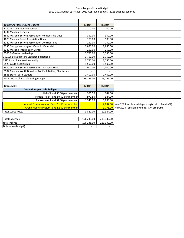## Grand Lodge of Idaho Budget 2019‐2021 Budget vs Actual ‐ 2022 Approved Budget ‐ 2023 Budget Scenarios

| 10010 Charitable Giving Budget                          | <b>Budget</b> | <b>Budget</b> |                                                    |
|---------------------------------------------------------|---------------|---------------|----------------------------------------------------|
| 1730 Masonic Library Expense                            | 200.00        | 200.00        |                                                    |
| 1731 Masonic Renewal                                    |               |               |                                                    |
| 1860 Masonic Service Association Membership Dues        | 350.00        | 350.00        |                                                    |
| 1870 Masonic Relief Association Dues                    | 100.00        | 100.00        |                                                    |
| 3220 Masonic Service Assoication Contributions          | 250.00        | 250.00        |                                                    |
| 3230 George Washington Masonic Memorial                 | 2,856.00      | 2,856.00      |                                                    |
| 3240 Masonic Information Center                         | 250.00        | 250.00        |                                                    |
| 3500 DeMolay Leadership                                 | 3,750.00      | 3,750.00      |                                                    |
| 3501 Job's Daughters Leadership (National)              | 3,750.00      | 3,750.00      |                                                    |
| 35?? Idaho Rainbow Leadership                           | 3,750.00      | 3,750.00      |                                                    |
| 3525 Youth Scholarship                                  | 1,500.00      | 1,500.00      |                                                    |
| 3580 Masonic Service Assoication - Disaster Fund        | 1,000.00      | 1,000.00      |                                                    |
| 3584 Masonic Youth Donation For Each Bethel, Chapter an |               |               |                                                    |
| 3586 State Youth Leaders                                | 1,400.00      | 1,400.00      |                                                    |
| Total 10010 Charitable Giving Budget                    | 19,156.00     | 19,156.00     |                                                    |
|                                                         |               |               |                                                    |
| 10011 Misc                                              | <b>Budget</b> | <b>Budget</b> |                                                    |
| Deductions per code & digest                            |               |               |                                                    |
| Relief Fund \$0.50 per member                           | 970.50        | 944.00        |                                                    |
| Temple Relief Fund \$0.50 per member                    | 970.50        | 944.00        |                                                    |
| Endowment Fund \$1.00 per member                        | 1,941.00      | 1,888.00      |                                                    |
| Annual Communication Fund \$1.50 per member             |               | 2,832.00      | New 2023 (replaces delegate registration fee @ GL) |
| Grand Masters Project Fund \$2.00 per member            |               | 3,776.00      | New 2023 - establish fund for GM programs          |
| Total 10011 Misc.                                       | 3,882.00      | 10,384.00     |                                                    |
|                                                         |               |               |                                                    |
| <b>Total Expenses</b>                                   | 196,238.00    | 213,339.00    |                                                    |
| total income                                            | 196,238.00    | 213,339.00    |                                                    |
| Difference (Budget)                                     |               |               |                                                    |